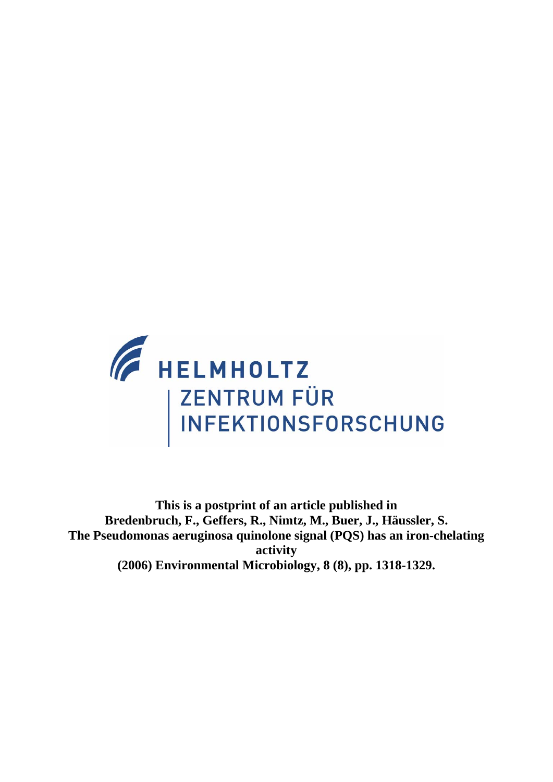

**This is a postprint of an article published in Bredenbruch, F., Geffers, R., Nimtz, M., Buer, J., Häussler, S. The Pseudomonas aeruginosa quinolone signal (PQS) has an iron-chelating activity (2006) Environmental Microbiology, 8 (8), pp. 1318-1329.**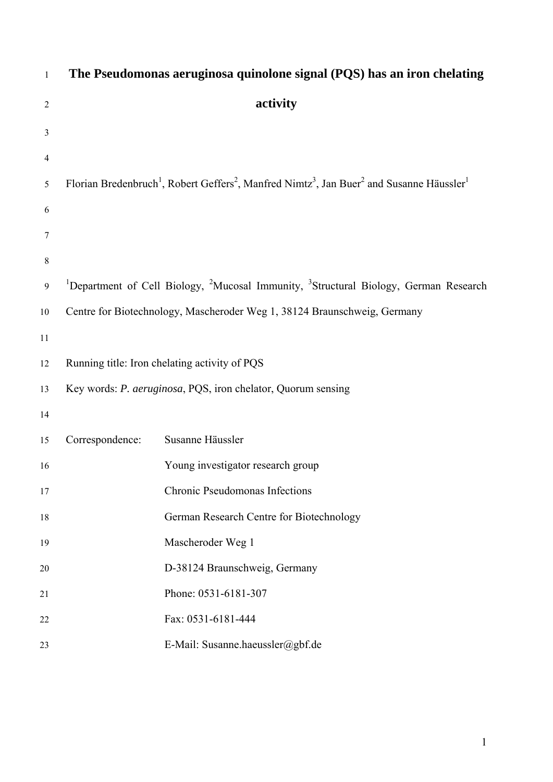| $\mathbf{1}$   |                 | The Pseudomonas aeruginosa quinolone signal (PQS) has an iron chelating                                                                               |
|----------------|-----------------|-------------------------------------------------------------------------------------------------------------------------------------------------------|
| $\mathfrak{2}$ |                 | activity                                                                                                                                              |
| 3              |                 |                                                                                                                                                       |
| 4              |                 |                                                                                                                                                       |
| 5              |                 | Florian Bredenbruch <sup>1</sup> , Robert Geffers <sup>2</sup> , Manfred Nimtz <sup>3</sup> , Jan Buer <sup>2</sup> and Susanne Häussler <sup>1</sup> |
| 6              |                 |                                                                                                                                                       |
| 7              |                 |                                                                                                                                                       |
| $\,8\,$        |                 |                                                                                                                                                       |
| 9              |                 | <sup>1</sup> Department of Cell Biology, <sup>2</sup> Mucosal Immunity, <sup>3</sup> Structural Biology, German Research                              |
| 10             |                 | Centre for Biotechnology, Mascheroder Weg 1, 38124 Braunschweig, Germany                                                                              |
| 11             |                 |                                                                                                                                                       |
| 12             |                 | Running title: Iron chelating activity of PQS                                                                                                         |
| 13             |                 | Key words: P. aeruginosa, PQS, iron chelator, Quorum sensing                                                                                          |
| 14             |                 |                                                                                                                                                       |
| 15             | Correspondence: | Susanne Häussler                                                                                                                                      |
| 16             |                 | Young investigator research group                                                                                                                     |
| 17             |                 | Chronic Pseudomonas Infections                                                                                                                        |
| 18             |                 | German Research Centre for Biotechnology                                                                                                              |
| 19             |                 | Mascheroder Weg 1                                                                                                                                     |
| 20             |                 | D-38124 Braunschweig, Germany                                                                                                                         |
| 21             |                 | Phone: 0531-6181-307                                                                                                                                  |
| 22             |                 | Fax: 0531-6181-444                                                                                                                                    |
| 23             |                 | E-Mail: Susanne.haeussler@gbf.de                                                                                                                      |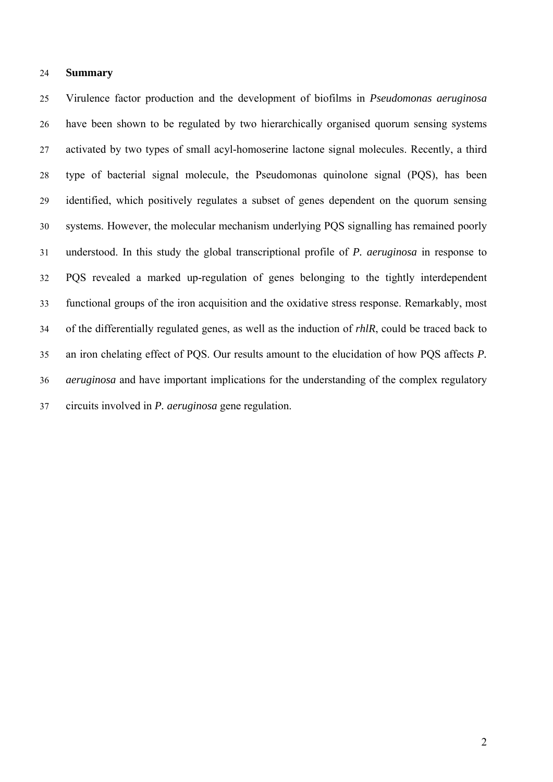## 24 **Summary**

25 26 27 28 29 30 31 32 33 34 35 36 37 Virulence factor production and the development of biofilms in *Pseudomonas aeruginosa* have been shown to be regulated by two hierarchically organised quorum sensing systems activated by two types of small acyl-homoserine lactone signal molecules. Recently, a third type of bacterial signal molecule, the Pseudomonas quinolone signal (PQS), has been identified, which positively regulates a subset of genes dependent on the quorum sensing systems. However, the molecular mechanism underlying PQS signalling has remained poorly understood. In this study the global transcriptional profile of *P. aeruginosa* in response to PQS revealed a marked up-regulation of genes belonging to the tightly interdependent functional groups of the iron acquisition and the oxidative stress response. Remarkably, most of the differentially regulated genes, as well as the induction of *rhlR*, could be traced back to an iron chelating effect of PQS. Our results amount to the elucidation of how PQS affects *P. aeruginosa* and have important implications for the understanding of the complex regulatory circuits involved in *P. aeruginosa* gene regulation.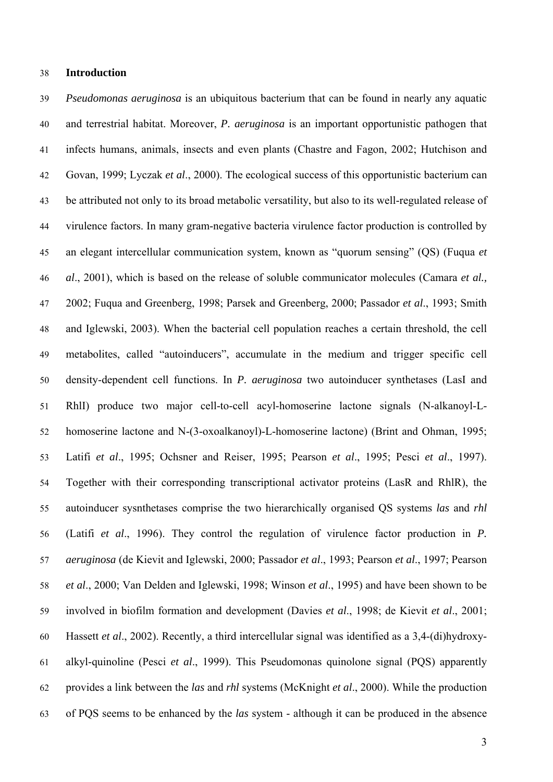## 38 **Introduction**

39 40 41 42 43 44 45 46 47 48 49 50 51 52 53 54 55 56 57 58 59 60 61 62 63 *Pseudomonas aeruginosa* is an ubiquitous bacterium that can be found in nearly any aquatic and terrestrial habitat. Moreover, *P. aeruginosa* is an important opportunistic pathogen that infects humans, animals, insects and even plants (Chastre and Fagon, 2002; Hutchison and Govan, 1999; Lyczak *et al*., 2000). The ecological success of this opportunistic bacterium can be attributed not only to its broad metabolic versatility, but also to its well-regulated release of virulence factors. In many gram-negative bacteria virulence factor production is controlled by an elegant intercellular communication system, known as "quorum sensing" (QS) (Fuqua *et al*., 2001), which is based on the release of soluble communicator molecules (Camara *et al.,* 2002; Fuqua and Greenberg, 1998; Parsek and Greenberg, 2000; Passador *et al*., 1993; Smith and Iglewski, 2003). When the bacterial cell population reaches a certain threshold, the cell metabolites, called "autoinducers", accumulate in the medium and trigger specific cell density-dependent cell functions. In *P. aeruginosa* two autoinducer synthetases (LasI and RhlI) produce two major cell-to-cell acyl-homoserine lactone signals (N-alkanoyl-Lhomoserine lactone and N-(3-oxoalkanoyl)-L-homoserine lactone) (Brint and Ohman, 1995; Latifi *et al*., 1995; Ochsner and Reiser, 1995; Pearson *et al*., 1995; Pesci *et al*., 1997). Together with their corresponding transcriptional activator proteins (LasR and RhlR), the autoinducer sysnthetases comprise the two hierarchically organised QS systems *las* and *rhl*  (Latifi *et al*., 1996). They control the regulation of virulence factor production in *P. aeruginosa* (de Kievit and Iglewski, 2000; Passador *et al*., 1993; Pearson *et al*., 1997; Pearson *et al*., 2000; Van Delden and Iglewski, 1998; Winson *et al*., 1995) and have been shown to be involved in biofilm formation and development (Davies *et al*., 1998; de Kievit *et al*., 2001; Hassett *et al*., 2002). Recently, a third intercellular signal was identified as a 3,4-(di)hydroxyalkyl-quinoline (Pesci *et al*., 1999). This Pseudomonas quinolone signal (PQS) apparently provides a link between the *las* and *rhl* systems (McKnight *et al*., 2000). While the production of PQS seems to be enhanced by the *las* system - although it can be produced in the absence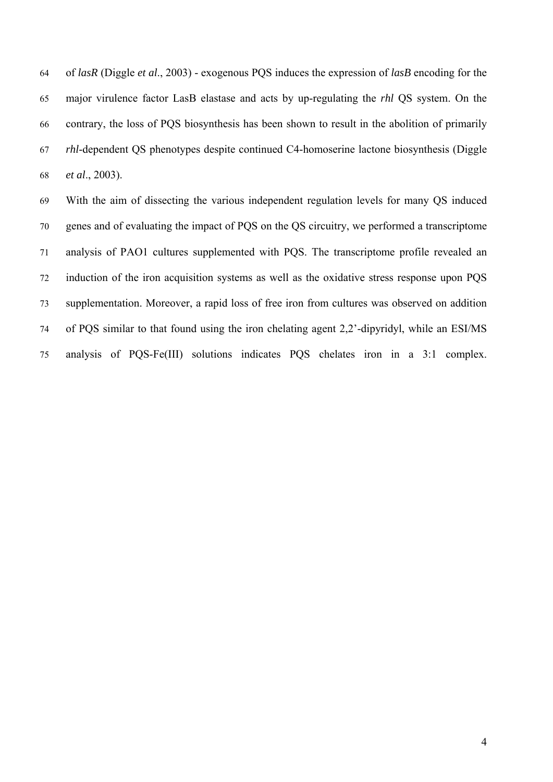of *lasR* (Diggle *et al*., 2003) - exogenous PQS induces the expression of *lasB* encoding for the major virulence factor LasB elastase and acts by up-regulating the *rhl* QS system. On the contrary, the loss of PQS biosynthesis has been shown to result in the abolition of primarily *rhl*-dependent QS phenotypes despite continued C4-homoserine lactone biosynthesis (Diggle *et al*., 2003). 64 65 66 67 68

69 70 71 72 73 74 75 With the aim of dissecting the various independent regulation levels for many QS induced genes and of evaluating the impact of PQS on the QS circuitry, we performed a transcriptome analysis of PAO1 cultures supplemented with PQS. The transcriptome profile revealed an induction of the iron acquisition systems as well as the oxidative stress response upon PQS supplementation. Moreover, a rapid loss of free iron from cultures was observed on addition of PQS similar to that found using the iron chelating agent 2,2'-dipyridyl, while an ESI/MS analysis of PQS-Fe(III) solutions indicates PQS chelates iron in a 3:1 complex.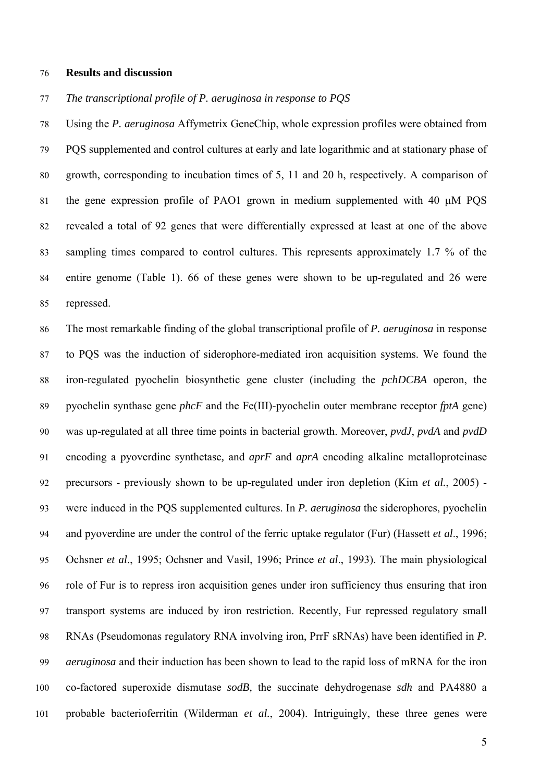## 76 **Results and discussion**

#### 77 *The transcriptional profile of P. aeruginosa in response to PQS*

78 79 80 81 82 83 84 85 Using the *P. aeruginosa* Affymetrix GeneChip, whole expression profiles were obtained from PQS supplemented and control cultures at early and late logarithmic and at stationary phase of growth, corresponding to incubation times of 5, 11 and 20 h, respectively. A comparison of the gene expression profile of PAO1 grown in medium supplemented with 40 µM PQS revealed a total of 92 genes that were differentially expressed at least at one of the above sampling times compared to control cultures. This represents approximately 1.7 % of the entire genome (Table 1). 66 of these genes were shown to be up-regulated and 26 were repressed.

86 87 88 89 90 91 92 93 94 95 96 97 98 99 100 101 The most remarkable finding of the global transcriptional profile of *P. aeruginosa* in response to PQS was the induction of siderophore-mediated iron acquisition systems. We found the iron-regulated pyochelin biosynthetic gene cluster (including the *pchDCBA* operon, the pyochelin synthase gene *phcF* and the Fe(III)-pyochelin outer membrane receptor *fptA* gene) was up-regulated at all three time points in bacterial growth. Moreover, *pvdJ*, *pvdA* and *pvdD* encoding a pyoverdine synthetase*,* and *aprF* and *aprA* encoding alkaline metalloproteinase precursors - previously shown to be up-regulated under iron depletion (Kim *et al.*, 2005) were induced in the PQS supplemented cultures. In *P. aeruginosa* the siderophores, pyochelin and pyoverdine are under the control of the ferric uptake regulator (Fur) (Hassett *et al*., 1996; Ochsner *et al*., 1995; Ochsner and Vasil, 1996; Prince *et al*., 1993). The main physiological role of Fur is to repress iron acquisition genes under iron sufficiency thus ensuring that iron transport systems are induced by iron restriction. Recently, Fur repressed regulatory small RNAs (Pseudomonas regulatory RNA involving iron, PrrF sRNAs) have been identified in *P. aeruginosa* and their induction has been shown to lead to the rapid loss of mRNA for the iron co-factored superoxide dismutase *sodB,* the succinate dehydrogenase *sdh* and PA4880 a probable bacterioferritin (Wilderman *et al.*, 2004). Intriguingly, these three genes were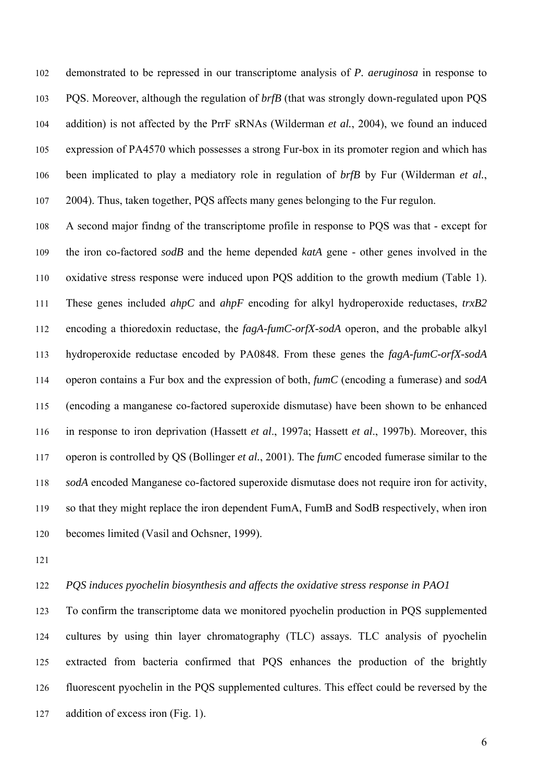demonstrated to be repressed in our transcriptome analysis of *P. aeruginosa* in response to PQS. Moreover, although the regulation of *brfB* (that was strongly down-regulated upon PQS addition) is not affected by the PrrF sRNAs (Wilderman *et al.*, 2004), we found an induced expression of PA4570 which possesses a strong Fur-box in its promoter region and which has been implicated to play a mediatory role in regulation of *brfB* by Fur (Wilderman *et al.*, 2004). Thus, taken together, PQS affects many genes belonging to the Fur regulon. 102 103 104 105 106 107

108 109 110 111 112 113 114 115 116 117 118 119 120 A second major findng of the transcriptome profile in response to PQS was that - except for the iron co-factored *sodB* and the heme depended *katA* gene - other genes involved in the oxidative stress response were induced upon PQS addition to the growth medium (Table 1). These genes included *ahpC* and *ahpF* encoding for alkyl hydroperoxide reductases, *trxB2* encoding a thioredoxin reductase, the *fagA-fumC-orfX-sodA* operon, and the probable alkyl hydroperoxide reductase encoded by PA0848. From these genes the *fagA-fumC-orfX-sodA* operon contains a Fur box and the expression of both, *fumC* (encoding a fumerase) and *sodA*  (encoding a manganese co-factored superoxide dismutase) have been shown to be enhanced in response to iron deprivation (Hassett *et al*., 1997a; Hassett *et al*., 1997b). Moreover, this operon is controlled by QS (Bollinger *et al.*, 2001). The *fumC* encoded fumerase similar to the *sodA* encoded Manganese co-factored superoxide dismutase does not require iron for activity, so that they might replace the iron dependent FumA, FumB and SodB respectively, when iron becomes limited (Vasil and Ochsner, 1999).

121

### 122 *PQS induces pyochelin biosynthesis and affects the oxidative stress response in PAO1*

123 124 125 126 127 To confirm the transcriptome data we monitored pyochelin production in PQS supplemented cultures by using thin layer chromatography (TLC) assays. TLC analysis of pyochelin extracted from bacteria confirmed that PQS enhances the production of the brightly fluorescent pyochelin in the PQS supplemented cultures. This effect could be reversed by the addition of excess iron (Fig. 1).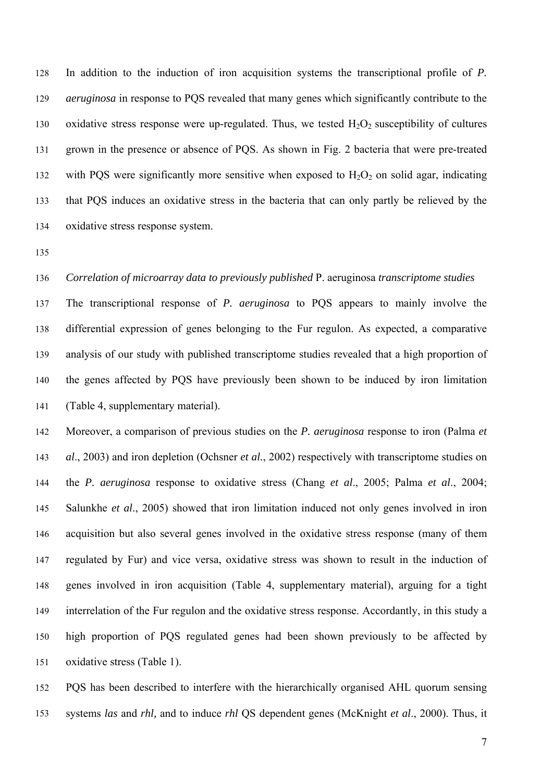In addition to the induction of iron acquisition systems the transcriptional profile of *P. aeruginosa* in response to PQS revealed that many genes which significantly contribute to the oxidative stress response were up-regulated. Thus, we tested  $H_2O_2$  susceptibility of cultures 128 129 130 131 132 133 134 grown in the presence or absence of PQS. As shown in Fig. 2 bacteria that were pre-treated with PQS were significantly more sensitive when exposed to  $H_2O_2$  on solid agar, indicating that PQS induces an oxidative stress in the bacteria that can only partly be relieved by the oxidative stress response system.

135

#### 136 *Correlation of microarray data to previously published* P. aeruginosa *transcriptome studies*

137 138 139 140 141 The transcriptional response of *P. aeruginosa* to PQS appears to mainly involve the differential expression of genes belonging to the Fur regulon. As expected, a comparative analysis of our study with published transcriptome studies revealed that a high proportion of the genes affected by PQS have previously been shown to be induced by iron limitation (Table 4, supplementary material).

142 143 144 145 146 147 148 149 150 151 Moreover, a comparison of previous studies on the *P. aeruginosa* response to iron (Palma *et al*., 2003) and iron depletion (Ochsner *et al.*, 2002) respectively with transcriptome studies on the *P. aeruginosa* response to oxidative stress (Chang *et al*., 2005; Palma *et al*., 2004; Salunkhe *et al*., 2005) showed that iron limitation induced not only genes involved in iron acquisition but also several genes involved in the oxidative stress response (many of them regulated by Fur) and vice versa, oxidative stress was shown to result in the induction of genes involved in iron acquisition (Table 4, supplementary material), arguing for a tight interrelation of the Fur regulon and the oxidative stress response. Accordantly, in this study a high proportion of PQS regulated genes had been shown previously to be affected by oxidative stress (Table 1).

152 153 PQS has been described to interfere with the hierarchically organised AHL quorum sensing systems *las* and *rhl,* and to induce *rhl* QS dependent genes (McKnight *et al*., 2000). Thus, it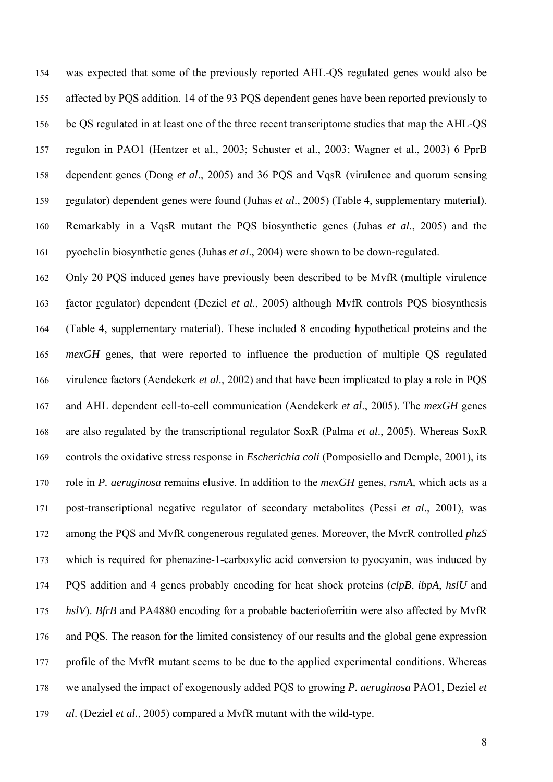was expected that some of the previously reported AHL-QS regulated genes would also be affected by PQS addition. 14 of the 93 PQS dependent genes have been reported previously to be QS regulated in at least one of the three recent transcriptome studies that map the AHL-QS regulon in PAO1 (Hentzer et al., 2003; Schuster et al., 2003; Wagner et al., 2003) 6 PprB 158 dependent genes (Dong et al., 2005) and 36 PQS and VqsR (virulence and quorum sensing 154 155 156 157 regulator) dependent genes were found (Juhas *et al*., 2005) (Table 4, supplementary material). Remarkably in a VqsR mutant the PQS biosynthetic genes (Juhas *et al*., 2005) and the pyochelin biosynthetic genes (Juhas *et al*., 2004) were shown to be down-regulated. 159 160 161

162 Only 20 PQS induced genes have previously been described to be MvfR (multiple virulence factor regulator) dependent (Deziel *et al.*, 2005) although MvfR controls PQS biosynthesis (Table 4, supplementary material). These included 8 encoding hypothetical proteins and the *mexGH* genes, that were reported to influence the production of multiple QS regulated virulence factors (Aendekerk *et al*., 2002) and that have been implicated to play a role in PQS and AHL dependent cell-to-cell communication (Aendekerk *et al*., 2005). The *mexGH* genes are also regulated by the transcriptional regulator SoxR (Palma *et al*., 2005). Whereas SoxR controls the oxidative stress response in *Escherichia coli* (Pomposiello and Demple, 2001), its role in *P. aeruginosa* remains elusive. In addition to the *mexGH* genes, *rsmA,* which acts as a post-transcriptional negative regulator of secondary metabolites (Pessi *et al*., 2001), was among the PQS and MvfR congenerous regulated genes. Moreover, the MvrR controlled *phzS* which is required for phenazine-1-carboxylic acid conversion to pyocyanin, was induced by PQS addition and 4 genes probably encoding for heat shock proteins (*clpB*, *ibpA*, *hslU* and *hslV*). *BfrB* and PA4880 encoding for a probable bacterioferritin were also affected by MvfR and PQS. The reason for the limited consistency of our results and the global gene expression profile of the MvfR mutant seems to be due to the applied experimental conditions. Whereas we analysed the impact of exogenously added PQS to growing *P. aeruginosa* PAO1, Deziel *et al*. (Deziel *et al.*, 2005) compared a MvfR mutant with the wild-type. 163 164 165 166 167 168 169 170 171 172 173 174 175 176 177 178 179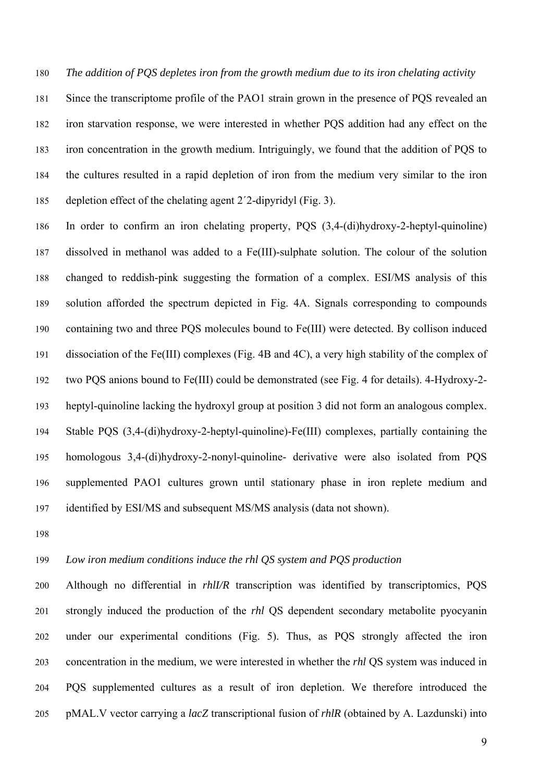180 *The addition of PQS depletes iron from the growth medium due to its iron chelating activity* 

181 182 183 184 185 Since the transcriptome profile of the PAO1 strain grown in the presence of PQS revealed an iron starvation response, we were interested in whether PQS addition had any effect on the iron concentration in the growth medium. Intriguingly, we found that the addition of PQS to the cultures resulted in a rapid depletion of iron from the medium very similar to the iron depletion effect of the chelating agent 2´2-dipyridyl (Fig. 3).

186 187 188 189 190 191 192 193 194 195 196 197 In order to confirm an iron chelating property, PQS (3,4-(di)hydroxy-2-heptyl-quinoline) dissolved in methanol was added to a Fe(III)-sulphate solution. The colour of the solution changed to reddish-pink suggesting the formation of a complex. ESI/MS analysis of this solution afforded the spectrum depicted in Fig. 4A. Signals corresponding to compounds containing two and three PQS molecules bound to Fe(III) were detected. By collison induced dissociation of the Fe(III) complexes (Fig. 4B and 4C), a very high stability of the complex of two PQS anions bound to Fe(III) could be demonstrated (see Fig. 4 for details). 4-Hydroxy-2 heptyl-quinoline lacking the hydroxyl group at position 3 did not form an analogous complex. Stable PQS (3,4-(di)hydroxy-2-heptyl-quinoline)-Fe(III) complexes, partially containing the homologous 3,4-(di)hydroxy-2-nonyl-quinoline- derivative were also isolated from PQS supplemented PAO1 cultures grown until stationary phase in iron replete medium and identified by ESI/MS and subsequent MS/MS analysis (data not shown).

198

#### 199 *Low iron medium conditions induce the rhl QS system and PQS production*

200 201 202 203 204 205 Although no differential in *rhlI/R* transcription was identified by transcriptomics, PQS strongly induced the production of the *rhl* QS dependent secondary metabolite pyocyanin under our experimental conditions (Fig. 5). Thus, as PQS strongly affected the iron concentration in the medium, we were interested in whether the *rhl* QS system was induced in PQS supplemented cultures as a result of iron depletion. We therefore introduced the pMAL.V vector carrying a *lacZ* transcriptional fusion of *rhlR* (obtained by A. Lazdunski) into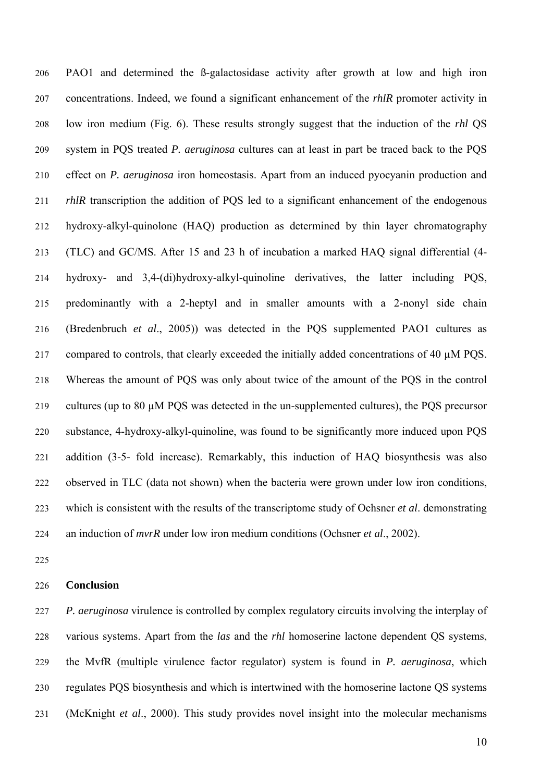PAO1 and determined the ß-galactosidase activity after growth at low and high iron concentrations. Indeed, we found a significant enhancement of the *rhlR* promoter activity in low iron medium (Fig. 6). These results strongly suggest that the induction of the *rhl* QS system in PQS treated *P. aeruginosa* cultures can at least in part be traced back to the PQS effect on *P. aeruginosa* iron homeostasis. Apart from an induced pyocyanin production and *rhlR* transcription the addition of PQS led to a significant enhancement of the endogenous hydroxy-alkyl-quinolone (HAQ) production as determined by thin layer chromatography (TLC) and GC/MS. After 15 and 23 h of incubation a marked HAQ signal differential (4 hydroxy- and 3,4-(di)hydroxy-alkyl-quinoline derivatives, the latter including PQS, predominantly with a 2-heptyl and in smaller amounts with a 2-nonyl side chain (Bredenbruch *et al*., 2005)) was detected in the PQS supplemented PAO1 cultures as compared to controls, that clearly exceeded the initially added concentrations of 40 µM PQS. Whereas the amount of PQS was only about twice of the amount of the PQS in the control cultures (up to 80 µM PQS was detected in the un-supplemented cultures), the PQS precursor substance, 4-hydroxy-alkyl-quinoline, was found to be significantly more induced upon PQS addition (3-5- fold increase). Remarkably, this induction of HAQ biosynthesis was also observed in TLC (data not shown) when the bacteria were grown under low iron conditions, which is consistent with the results of the transcriptome study of Ochsner *et al*. demonstrating an induction of *mvrR* under low iron medium conditions (Ochsner *et al*., 2002). 206 207 208 209 210 211 212 213 214 215 216 217 218 219 220 221 222 223 224

225

#### 226 **Conclusion**

227 228 *P. aeruginosa* virulence is controlled by complex regulatory circuits involving the interplay of various systems. Apart from the *las* and the *rhl* homoserine lactone dependent QS systems, the MvfR (multiple virulence factor regulator) system is found in *P. aeruginosa*, which regulates PQS biosynthesis and which is intertwined with the homoserine lactone QS systems (McKnight *et al*., 2000). This study provides novel insight into the molecular mechanisms 229 230 231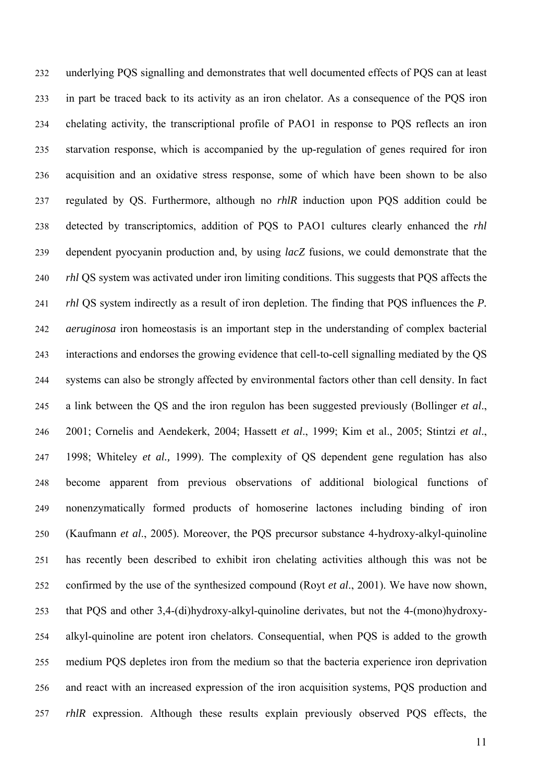underlying PQS signalling and demonstrates that well documented effects of PQS can at least in part be traced back to its activity as an iron chelator. As a consequence of the PQS iron chelating activity, the transcriptional profile of PAO1 in response to PQS reflects an iron starvation response, which is accompanied by the up-regulation of genes required for iron acquisition and an oxidative stress response, some of which have been shown to be also regulated by QS. Furthermore, although no *rhlR* induction upon PQS addition could be detected by transcriptomics, addition of PQS to PAO1 cultures clearly enhanced the *rhl* dependent pyocyanin production and, by using *lacZ* fusions, we could demonstrate that the *rhl* QS system was activated under iron limiting conditions. This suggests that PQS affects the *rhl* QS system indirectly as a result of iron depletion. The finding that PQS influences the *P. aeruginosa* iron homeostasis is an important step in the understanding of complex bacterial interactions and endorses the growing evidence that cell-to-cell signalling mediated by the QS systems can also be strongly affected by environmental factors other than cell density. In fact a link between the QS and the iron regulon has been suggested previously (Bollinger *et al*., 2001; Cornelis and Aendekerk, 2004; Hassett *et al*., 1999; Kim et al., 2005; Stintzi *et al*., 1998; Whiteley *et al.,* 1999). The complexity of QS dependent gene regulation has also become apparent from previous observations of additional biological functions of nonenzymatically formed products of homoserine lactones including binding of iron (Kaufmann *et al*., 2005). Moreover, the PQS precursor substance 4-hydroxy-alkyl-quinoline has recently been described to exhibit iron chelating activities although this was not be confirmed by the use of the synthesized compound (Royt *et al*., 2001). We have now shown, that PQS and other 3,4-(di)hydroxy-alkyl-quinoline derivates, but not the 4-(mono)hydroxyalkyl-quinoline are potent iron chelators. Consequential, when PQS is added to the growth medium PQS depletes iron from the medium so that the bacteria experience iron deprivation and react with an increased expression of the iron acquisition systems, PQS production and *rhlR* expression. Although these results explain previously observed PQS effects, the 232 233 234 235 236 237 238 239 240 241 242 243 244 245 246 247 248 249 250 251 252 253 254 255 256 257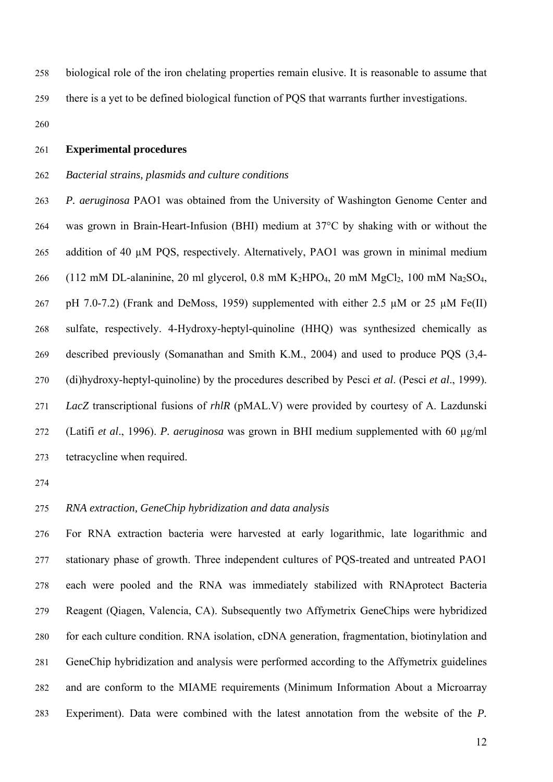biological role of the iron chelating properties remain elusive. It is reasonable to assume that there is a yet to be defined biological function of PQS that warrants further investigations. 258 259

260

#### 261 **Experimental procedures**

#### 262 *Bacterial strains, plasmids and culture conditions*

263 264 265 266 267 268 269 270 271 272 273 *P. aeruginosa* PAO1 was obtained from the University of Washington Genome Center and was grown in Brain-Heart-Infusion (BHI) medium at 37°C by shaking with or without the addition of 40 µM POS, respectively. Alternatively, PAO1 was grown in minimal medium (112 mM DL-alaninine, 20 ml glycerol, 0.8 mM  $K_2HPO_4$ , 20 mM  $MgCl_2$ , 100 mM  $Na_2SO_4$ , pH 7.0-7.2) (Frank and DeMoss, 1959) supplemented with either 2.5  $\mu$ M or 25  $\mu$ M Fe(II) sulfate, respectively. 4-Hydroxy-heptyl-quinoline (HHQ) was synthesized chemically as described previously (Somanathan and Smith K.M., 2004) and used to produce PQS (3,4- (di)hydroxy-heptyl-quinoline) by the procedures described by Pesci *et al*. (Pesci *et al*., 1999). *LacZ* transcriptional fusions of *rhlR* (pMAL.V) were provided by courtesy of A. Lazdunski (Latifi *et al*., 1996). *P. aeruginosa* was grown in BHI medium supplemented with 60 µg/ml tetracycline when required.

274

#### 275 *RNA extraction, GeneChip hybridization and data analysis*

276 277 278 279 280 281 282 283 For RNA extraction bacteria were harvested at early logarithmic, late logarithmic and stationary phase of growth. Three independent cultures of PQS-treated and untreated PAO1 each were pooled and the RNA was immediately stabilized with RNAprotect Bacteria Reagent (Qiagen, Valencia, CA). Subsequently two Affymetrix GeneChips were hybridized for each culture condition. RNA isolation, cDNA generation, fragmentation, biotinylation and GeneChip hybridization and analysis were performed according to the Affymetrix guidelines and are conform to the MIAME requirements (Minimum Information About a Microarray Experiment). Data were combined with the latest annotation from the website of the *P.*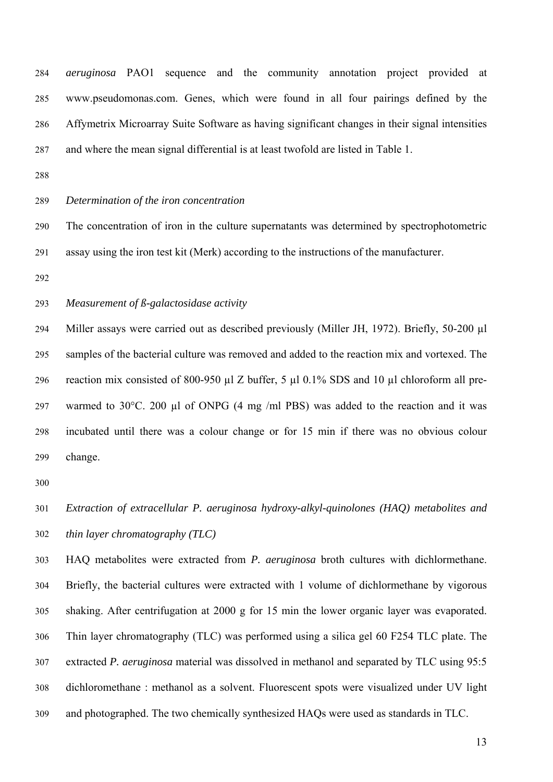*aeruginosa* PAO1 sequence and the community annotation project provided at www.pseudomonas.com. Genes, which were found in all four pairings defined by the Affymetrix Microarray Suite Software as having significant changes in their signal intensities and where the mean signal differential is at least twofold are listed in Table 1. 284 285 286 287

288

#### 289 *Determination of the iron concentration*

290 291 The concentration of iron in the culture supernatants was determined by spectrophotometric assay using the iron test kit (Merk) according to the instructions of the manufacturer.

292

293 *Measurement of ß-galactosidase activity* 

294 295 296 297 298 299 Miller assays were carried out as described previously (Miller JH, 1972). Briefly, 50-200 µl samples of the bacterial culture was removed and added to the reaction mix and vortexed. The reaction mix consisted of 800-950 µl Z buffer, 5 µl 0.1% SDS and 10 µl chloroform all prewarmed to  $30^{\circ}$ C. 200 µl of ONPG (4 mg /ml PBS) was added to the reaction and it was incubated until there was a colour change or for 15 min if there was no obvious colour change.

300

301 302 *Extraction of extracellular P. aeruginosa hydroxy-alkyl-quinolones (HAQ) metabolites and thin layer chromatography (TLC)*

303 304 305 306 307 308 309 HAQ metabolites were extracted from *P. aeruginosa* broth cultures with dichlormethane. Briefly, the bacterial cultures were extracted with 1 volume of dichlormethane by vigorous shaking. After centrifugation at 2000 g for 15 min the lower organic layer was evaporated. Thin layer chromatography (TLC) was performed using a silica gel 60 F254 TLC plate. The extracted *P. aeruginosa* material was dissolved in methanol and separated by TLC using 95:5 dichloromethane : methanol as a solvent. Fluorescent spots were visualized under UV light and photographed. The two chemically synthesized HAQs were used as standards in TLC.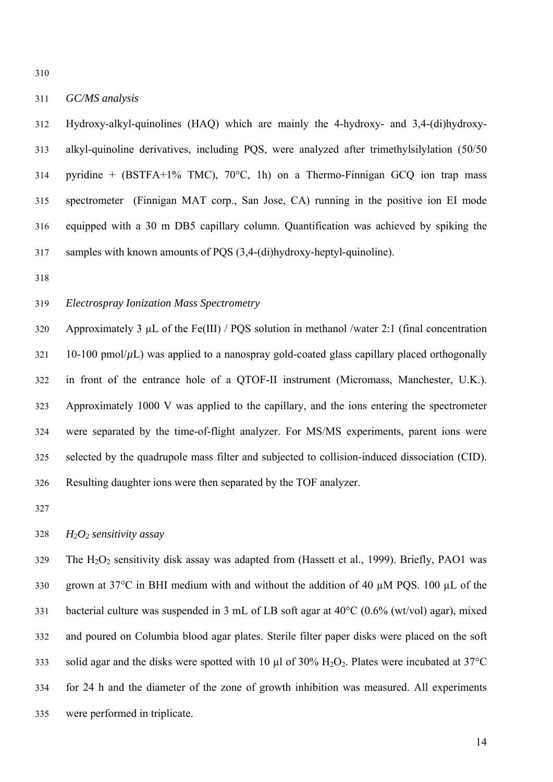310

#### 311 *GC/MS analysis*

312 313 314 315 316 317 Hydroxy-alkyl-quinolines (HAQ) which are mainly the 4-hydroxy- and 3,4-(di)hydroxyalkyl-quinoline derivatives, including PQS, were analyzed after trimethylsilylation (50/50 pyridine +  $(BSTFA+1\%$  TMC),  $70^{\circ}$ C, 1h) on a Thermo-Finnigan GCQ ion trap mass spectrometer (Finnigan MAT corp., San Jose, CA) running in the positive ion EI mode equipped with a 30 m DB5 capillary column. Quantification was achieved by spiking the samples with known amounts of POS (3,4-(di)hydroxy-heptyl-quinoline).

318

#### 319 *Electrospray Ionization Mass Spectrometry*

320 321 322 323 324 325 326 Approximately 3  $\mu$ L of the Fe(III) / PQS solution in methanol /water 2:1 (final concentration 10-100 pmol/ $\mu$ L) was applied to a nanospray gold-coated glass capillary placed orthogonally in front of the entrance hole of a QTOF-II instrument (Micromass, Manchester, U.K.). Approximately 1000 V was applied to the capillary, and the ions entering the spectrometer were separated by the time-of-flight analyzer. For MS/MS experiments, parent ions were selected by the quadrupole mass filter and subjected to collision-induced dissociation (CID). Resulting daughter ions were then separated by the TOF analyzer.

327

#### 328 *H2O2 sensitivity assay*

329 330 331 332 333 334 335 The  $H_2O_2$  sensitivity disk assay was adapted from (Hassett et al., 1999). Briefly, PAO1 was grown at  $37^{\circ}$ C in BHI medium with and without the addition of 40  $\mu$ M PQS. 100  $\mu$ L of the bacterial culture was suspended in 3 mL of LB soft agar at 40°C (0.6% (wt/vol) agar), mixed and poured on Columbia blood agar plates. Sterile filter paper disks were placed on the soft solid agar and the disks were spotted with 10  $\mu$ l of 30% H<sub>2</sub>O<sub>2</sub>. Plates were incubated at 37°C for 24 h and the diameter of the zone of growth inhibition was measured. All experiments were performed in triplicate.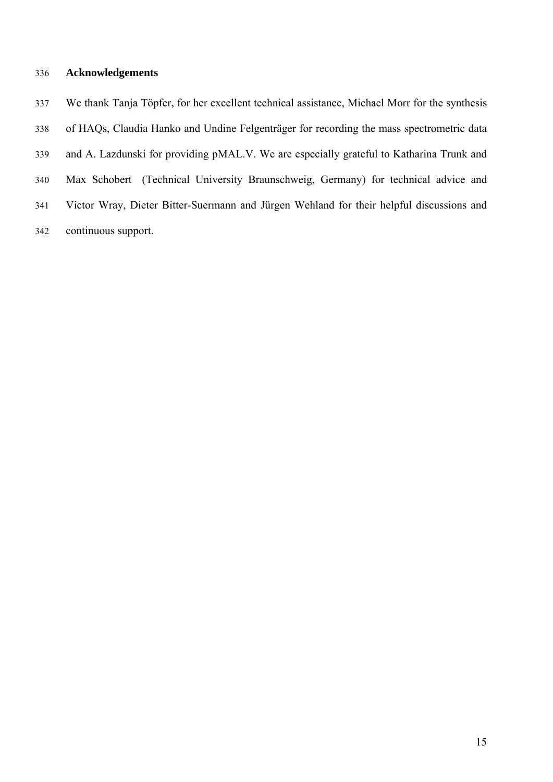# 336 **Acknowledgements**

337 338 339 340 341 342 We thank Tanja Töpfer, for her excellent technical assistance, Michael Morr for the synthesis of HAQs, Claudia Hanko and Undine Felgenträger for recording the mass spectrometric data and A. Lazdunski for providing pMAL.V. We are especially grateful to Katharina Trunk and Max Schobert (Technical University Braunschweig, Germany) for technical advice and Victor Wray, Dieter Bitter-Suermann and Jürgen Wehland for their helpful discussions and continuous support.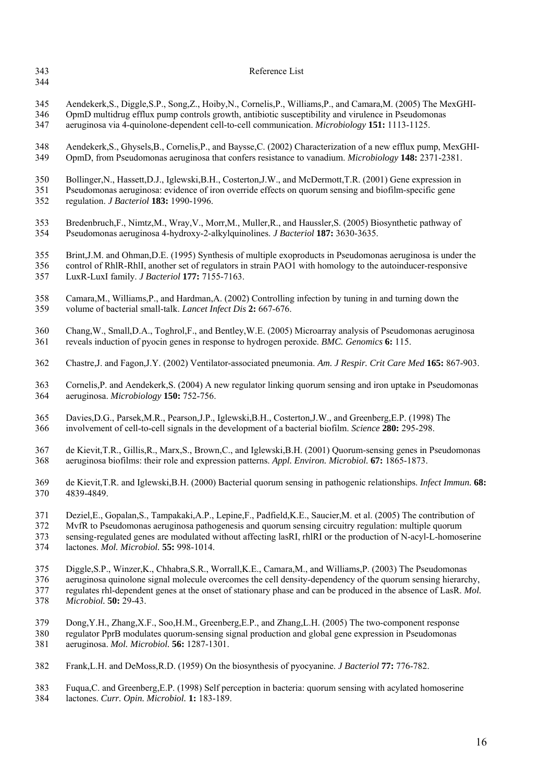343 344

### Reference List

- 345 346 Aendekerk,S., Diggle,S.P., Song,Z., Hoiby,N., Cornelis,P., Williams,P., and Camara,M. (2005) The MexGHI-OpmD multidrug efflux pump controls growth, antibiotic susceptibility and virulence in Pseudomonas
- 347 aeruginosa via 4-quinolone-dependent cell-to-cell communication. *Microbiology* **151:** 1113-1125.
- 348 349 Aendekerk,S., Ghysels,B., Cornelis,P., and Baysse,C. (2002) Characterization of a new efflux pump, MexGHI-OpmD, from Pseudomonas aeruginosa that confers resistance to vanadium. *Microbiology* **148:** 2371-2381.
- 350 Bollinger,N., Hassett,D.J., Iglewski,B.H., Costerton,J.W., and McDermott,T.R. (2001) Gene expression in
- 351 352 Pseudomonas aeruginosa: evidence of iron override effects on quorum sensing and biofilm-specific gene regulation. *J Bacteriol* **183:** 1990-1996.
- 353 354 Bredenbruch,F., Nimtz,M., Wray,V., Morr,M., Muller,R., and Haussler,S. (2005) Biosynthetic pathway of Pseudomonas aeruginosa 4-hydroxy-2-alkylquinolines. *J Bacteriol* **187:** 3630-3635.
- 355 Brint,J.M. and Ohman,D.E. (1995) Synthesis of multiple exoproducts in Pseudomonas aeruginosa is under the
- 356 control of RhlR-RhlI, another set of regulators in strain PAO1 with homology to the autoinducer-responsive
- 357 LuxR-LuxI family. *J Bacteriol* **177:** 7155-7163.
- 358 359 Camara,M., Williams,P., and Hardman,A. (2002) Controlling infection by tuning in and turning down the volume of bacterial small-talk. *Lancet Infect Dis* **2:** 667-676.
- 360 361 Chang,W., Small,D.A., Toghrol,F., and Bentley,W.E. (2005) Microarray analysis of Pseudomonas aeruginosa reveals induction of pyocin genes in response to hydrogen peroxide. *BMC. Genomics* **6:** 115.
- 362 Chastre,J. and Fagon,J.Y. (2002) Ventilator-associated pneumonia. *Am. J Respir. Crit Care Med* **165:** 867-903.
- 363 364 Cornelis,P. and Aendekerk,S. (2004) A new regulator linking quorum sensing and iron uptake in Pseudomonas aeruginosa. *Microbiology* **150:** 752-756.
- 365 366 Davies,D.G., Parsek,M.R., Pearson,J.P., Iglewski,B.H., Costerton,J.W., and Greenberg,E.P. (1998) The involvement of cell-to-cell signals in the development of a bacterial biofilm. *Science* **280:** 295-298.
- 367 368 de Kievit,T.R., Gillis,R., Marx,S., Brown,C., and Iglewski,B.H. (2001) Quorum-sensing genes in Pseudomonas aeruginosa biofilms: their role and expression patterns. *Appl. Environ. Microbiol.* **67:** 1865-1873.
- 369 370 de Kievit,T.R. and Iglewski,B.H. (2000) Bacterial quorum sensing in pathogenic relationships. *Infect Immun.* **68:** 4839-4849.
- 371 Deziel,E., Gopalan,S., Tampakaki,A.P., Lepine,F., Padfield,K.E., Saucier,M. et al. (2005) The contribution of
- 372 MvfR to Pseudomonas aeruginosa pathogenesis and quorum sensing circuitry regulation: multiple quorum
- 373 374 sensing-regulated genes are modulated without affecting lasRI, rhlRI or the production of N-acyl-L-homoserine lactones. *Mol. Microbiol.* **55:** 998-1014.
- 375 Diggle,S.P., Winzer,K., Chhabra,S.R., Worrall,K.E., Camara,M., and Williams,P. (2003) The Pseudomonas
- 376 377 aeruginosa quinolone signal molecule overcomes the cell density-dependency of the quorum sensing hierarchy, regulates rhl-dependent genes at the onset of stationary phase and can be produced in the absence of LasR. *Mol.*
- 378 *Microbiol.* **50:** 29-43.
	- 379 Dong,Y.H., Zhang,X.F., Soo,H.M., Greenberg,E.P., and Zhang,L.H. (2005) The two-component response
	- 380 381 regulator PprB modulates quorum-sensing signal production and global gene expression in Pseudomonas aeruginosa. *Mol. Microbiol.* **56:** 1287-1301.
	- 382 Frank,L.H. and DeMoss,R.D. (1959) On the biosynthesis of pyocyanine. *J Bacteriol* **77:** 776-782.
	- 383 384 Fuqua,C. and Greenberg,E.P. (1998) Self perception in bacteria: quorum sensing with acylated homoserine lactones. *Curr. Opin. Microbiol.* **1:** 183-189.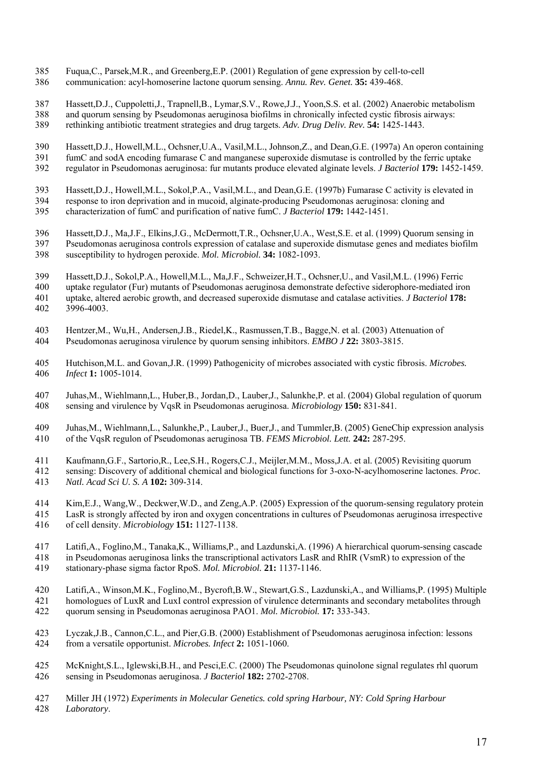- 385 Fuqua,C., Parsek,M.R., and Greenberg,E.P. (2001) Regulation of gene expression by cell-to-cell
- 386 communication: acyl-homoserine lactone quorum sensing. *Annu. Rev. Genet.* **35:** 439-468.
- 387 Hassett,D.J., Cuppoletti,J., Trapnell,B., Lymar,S.V., Rowe,J.J., Yoon,S.S. et al. (2002) Anaerobic metabolism
- 388 and quorum sensing by Pseudomonas aeruginosa biofilms in chronically infected cystic fibrosis airways:
- 389 rethinking antibiotic treatment strategies and drug targets. *Adv. Drug Deliv. Rev.* **54:** 1425-1443.

390 391 Hassett,D.J., Howell,M.L., Ochsner,U.A., Vasil,M.L., Johnson,Z., and Dean,G.E. (1997a) An operon containing fumC and sodA encoding fumarase C and manganese superoxide dismutase is controlled by the ferric uptake

- 392 regulator in Pseudomonas aeruginosa: fur mutants produce elevated alginate levels. *J Bacteriol* **179:** 1452-1459.
- 393 Hassett,D.J., Howell,M.L., Sokol,P.A., Vasil,M.L., and Dean,G.E. (1997b) Fumarase C activity is elevated in
- 394 395 response to iron deprivation and in mucoid, alginate-producing Pseudomonas aeruginosa: cloning and characterization of fumC and purification of native fumC. *J Bacteriol* **179:** 1442-1451.
- 396 397 398 Hassett,D.J., Ma,J.F., Elkins,J.G., McDermott,T.R., Ochsner,U.A., West,S.E. et al. (1999) Quorum sensing in Pseudomonas aeruginosa controls expression of catalase and superoxide dismutase genes and mediates biofilm susceptibility to hydrogen peroxide. *Mol. Microbiol.* **34:** 1082-1093.
- 399 Hassett,D.J., Sokol,P.A., Howell,M.L., Ma,J.F., Schweizer,H.T., Ochsner,U., and Vasil,M.L. (1996) Ferric
- 400 401 uptake regulator (Fur) mutants of Pseudomonas aeruginosa demonstrate defective siderophore-mediated iron uptake, altered aerobic growth, and decreased superoxide dismutase and catalase activities. *J Bacteriol* **178:**
- 402 3996-4003.
- 403 404 Hentzer,M., Wu,H., Andersen,J.B., Riedel,K., Rasmussen,T.B., Bagge,N. et al. (2003) Attenuation of Pseudomonas aeruginosa virulence by quorum sensing inhibitors. *EMBO J* **22:** 3803-3815.
- 405 406 Hutchison,M.L. and Govan,J.R. (1999) Pathogenicity of microbes associated with cystic fibrosis. *Microbes. Infect* **1:** 1005-1014.
- 407 408 Juhas,M., Wiehlmann,L., Huber,B., Jordan,D., Lauber,J., Salunkhe,P. et al. (2004) Global regulation of quorum sensing and virulence by VqsR in Pseudomonas aeruginosa. *Microbiology* **150:** 831-841.
- 409 410 Juhas,M., Wiehlmann,L., Salunkhe,P., Lauber,J., Buer,J., and Tummler,B. (2005) GeneChip expression analysis of the VqsR regulon of Pseudomonas aeruginosa TB. *FEMS Microbiol. Lett.* **242:** 287-295.
- 411 Kaufmann,G.F., Sartorio,R., Lee,S.H., Rogers,C.J., Meijler,M.M., Moss,J.A. et al. (2005) Revisiting quorum
- 412 413 sensing: Discovery of additional chemical and biological functions for 3-oxo-N-acylhomoserine lactones. *Proc. Natl. Acad Sci U. S. A* **102:** 309-314.
- 414 Kim,E.J., Wang,W., Deckwer,W.D., and Zeng,A.P. (2005) Expression of the quorum-sensing regulatory protein
- 415 416 LasR is strongly affected by iron and oxygen concentrations in cultures of Pseudomonas aeruginosa irrespective of cell density. *Microbiology* **151:** 1127-1138.
- 417 418 419 Latifi,A., Foglino,M., Tanaka,K., Williams,P., and Lazdunski,A. (1996) A hierarchical quorum-sensing cascade in Pseudomonas aeruginosa links the transcriptional activators LasR and RhIR (VsmR) to expression of the stationary-phase sigma factor RpoS. *Mol. Microbiol.* **21:** 1137-1146.
- 420 421 422 Latifi,A., Winson,M.K., Foglino,M., Bycroft,B.W., Stewart,G.S., Lazdunski,A., and Williams,P. (1995) Multiple homologues of LuxR and LuxI control expression of virulence determinants and secondary metabolites through quorum sensing in Pseudomonas aeruginosa PAO1. *Mol. Microbiol.* **17:** 333-343.
- 423 424 Lyczak,J.B., Cannon,C.L., and Pier,G.B. (2000) Establishment of Pseudomonas aeruginosa infection: lessons from a versatile opportunist. *Microbes. Infect* **2:** 1051-1060.
- 425 426 McKnight,S.L., Iglewski,B.H., and Pesci,E.C. (2000) The Pseudomonas quinolone signal regulates rhl quorum sensing in Pseudomonas aeruginosa. *J Bacteriol* **182:** 2702-2708.
- 427 428 Miller JH (1972) *Experiments in Molecular Genetics. cold spring Harbour, NY: Cold Spring Harbour Laboratory*.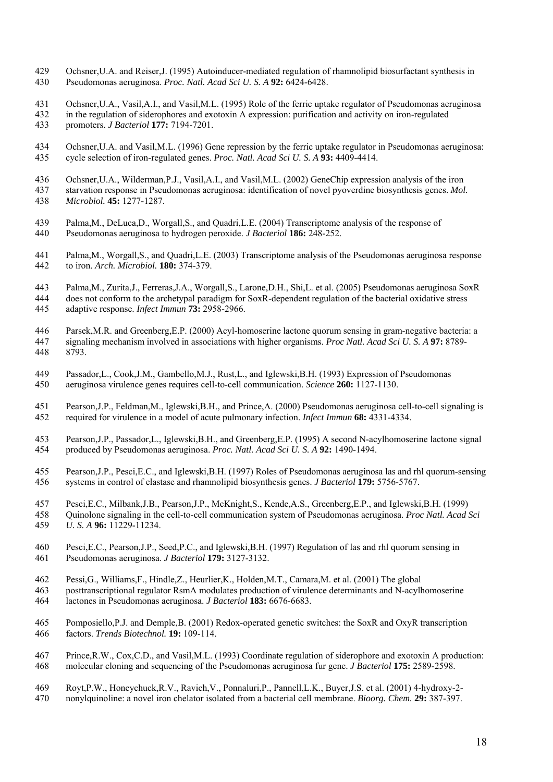- 429 430 Ochsner,U.A. and Reiser,J. (1995) Autoinducer-mediated regulation of rhamnolipid biosurfactant synthesis in Pseudomonas aeruginosa. *Proc. Natl. Acad Sci U. S. A* **92:** 6424-6428.
- 431 Ochsner,U.A., Vasil,A.I., and Vasil,M.L. (1995) Role of the ferric uptake regulator of Pseudomonas aeruginosa
- 432 433 in the regulation of siderophores and exotoxin A expression: purification and activity on iron-regulated promoters. *J Bacteriol* **177:** 7194-7201.
- 434 435 Ochsner,U.A. and Vasil,M.L. (1996) Gene repression by the ferric uptake regulator in Pseudomonas aeruginosa: cycle selection of iron-regulated genes. *Proc. Natl. Acad Sci U. S. A* **93:** 4409-4414.
- 436 Ochsner,U.A., Wilderman,P.J., Vasil,A.I., and Vasil,M.L. (2002) GeneChip expression analysis of the iron
- 437 438 starvation response in Pseudomonas aeruginosa: identification of novel pyoverdine biosynthesis genes. *Mol. Microbiol.* **45:** 1277-1287.
- 439 440 Palma,M., DeLuca,D., Worgall,S., and Quadri,L.E. (2004) Transcriptome analysis of the response of Pseudomonas aeruginosa to hydrogen peroxide. *J Bacteriol* **186:** 248-252.
- 441 442 Palma,M., Worgall,S., and Quadri,L.E. (2003) Transcriptome analysis of the Pseudomonas aeruginosa response to iron. *Arch. Microbiol.* **180:** 374-379.
- 443 444 Palma,M., Zurita,J., Ferreras,J.A., Worgall,S., Larone,D.H., Shi,L. et al. (2005) Pseudomonas aeruginosa SoxR does not conform to the archetypal paradigm for SoxR-dependent regulation of the bacterial oxidative stress
- 445 adaptive response. *Infect Immun* **73:** 2958-2966.
- 446 447 448 Parsek,M.R. and Greenberg,E.P. (2000) Acyl-homoserine lactone quorum sensing in gram-negative bacteria: a signaling mechanism involved in associations with higher organisms. *Proc Natl. Acad Sci U. S. A* **97:** 8789- 8793.
- 449 450 Passador,L., Cook,J.M., Gambello,M.J., Rust,L., and Iglewski,B.H. (1993) Expression of Pseudomonas aeruginosa virulence genes requires cell-to-cell communication. *Science* **260:** 1127-1130.
- 451 452 Pearson,J.P., Feldman,M., Iglewski,B.H., and Prince,A. (2000) Pseudomonas aeruginosa cell-to-cell signaling is required for virulence in a model of acute pulmonary infection. *Infect Immun* **68:** 4331-4334.
- 453 454 Pearson,J.P., Passador,L., Iglewski,B.H., and Greenberg,E.P. (1995) A second N-acylhomoserine lactone signal produced by Pseudomonas aeruginosa. *Proc. Natl. Acad Sci U. S. A* **92:** 1490-1494.
- 455 456 Pearson,J.P., Pesci,E.C., and Iglewski,B.H. (1997) Roles of Pseudomonas aeruginosa las and rhl quorum-sensing systems in control of elastase and rhamnolipid biosynthesis genes. *J Bacteriol* **179:** 5756-5767.
- 457 Pesci,E.C., Milbank,J.B., Pearson,J.P., McKnight,S., Kende,A.S., Greenberg,E.P., and Iglewski,B.H. (1999)
- 458 459 Quinolone signaling in the cell-to-cell communication system of Pseudomonas aeruginosa. *Proc Natl. Acad Sci U. S. A* **96:** 11229-11234.
- 460 461 Pesci,E.C., Pearson,J.P., Seed,P.C., and Iglewski,B.H. (1997) Regulation of las and rhl quorum sensing in Pseudomonas aeruginosa. *J Bacteriol* **179:** 3127-3132.
- 462 Pessi,G., Williams,F., Hindle,Z., Heurlier,K., Holden,M.T., Camara,M. et al. (2001) The global
- 463 posttranscriptional regulator RsmA modulates production of virulence determinants and N-acylhomoserine
- 464 lactones in Pseudomonas aeruginosa. *J Bacteriol* **183:** 6676-6683.
- 465 466 Pomposiello,P.J. and Demple,B. (2001) Redox-operated genetic switches: the SoxR and OxyR transcription factors. *Trends Biotechnol.* **19:** 109-114.
- 467 468 Prince,R.W., Cox,C.D., and Vasil,M.L. (1993) Coordinate regulation of siderophore and exotoxin A production: molecular cloning and sequencing of the Pseudomonas aeruginosa fur gene. *J Bacteriol* **175:** 2589-2598.
- 469 Royt,P.W., Honeychuck,R.V., Ravich,V., Ponnaluri,P., Pannell,L.K., Buyer,J.S. et al. (2001) 4-hydroxy-2-
- 470 nonylquinoline: a novel iron chelator isolated from a bacterial cell membrane. *Bioorg. Chem.* **29:** 387-397.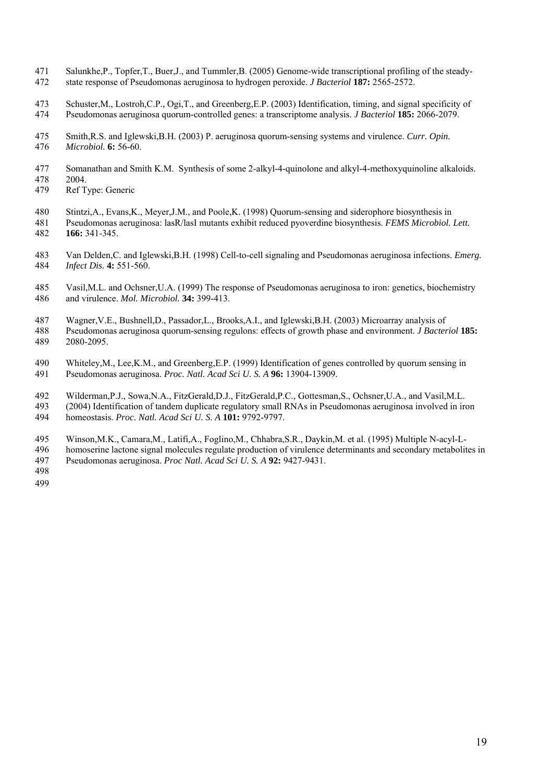- 471 472 Salunkhe,P., Topfer,T., Buer,J., and Tummler,B. (2005) Genome-wide transcriptional profiling of the steadystate response of Pseudomonas aeruginosa to hydrogen peroxide. *J Bacteriol* **187:** 2565-2572.
- 473 474 Schuster,M., Lostroh,C.P., Ogi,T., and Greenberg,E.P. (2003) Identification, timing, and signal specificity of Pseudomonas aeruginosa quorum-controlled genes: a transcriptome analysis. *J Bacteriol* **185:** 2066-2079.
- 475 476 Smith,R.S. and Iglewski,B.H. (2003) P. aeruginosa quorum-sensing systems and virulence. *Curr. Opin. Microbiol.* **6:** 56-60.
- 477 Somanathan and Smith K.M. Synthesis of some 2-alkyl-4-quinolone and alkyl-4-methoxyquinoline alkaloids.
- 478 2004.
- 479 Ref Type: Generic
- 480 Stintzi,A., Evans,K., Meyer,J.M., and Poole,K. (1998) Quorum-sensing and siderophore biosynthesis in
- 481 482 Pseudomonas aeruginosa: lasR/lasI mutants exhibit reduced pyoverdine biosynthesis. *FEMS Microbiol. Lett.* **166:** 341-345.
- 483 484 Van Delden,C. and Iglewski,B.H. (1998) Cell-to-cell signaling and Pseudomonas aeruginosa infections. *Emerg. Infect Dis.* **4:** 551-560.
- 485 486 Vasil,M.L. and Ochsner,U.A. (1999) The response of Pseudomonas aeruginosa to iron: genetics, biochemistry and virulence. *Mol. Microbiol.* **34:** 399-413.
- 487 Wagner,V.E., Bushnell,D., Passador,L., Brooks,A.I., and Iglewski,B.H. (2003) Microarray analysis of
- 488 489 Pseudomonas aeruginosa quorum-sensing regulons: effects of growth phase and environment. *J Bacteriol* **185:** 2080-2095.
- 
- 490 491 Whiteley,M., Lee,K.M., and Greenberg,E.P. (1999) Identification of genes controlled by quorum sensing in Pseudomonas aeruginosa. *Proc. Natl. Acad Sci U. S. A* **96:** 13904-13909.
- 492 Wilderman,P.J., Sowa,N.A., FitzGerald,D.J., FitzGerald,P.C., Gottesman,S., Ochsner,U.A., and Vasil,M.L.
- 493 494 (2004) Identification of tandem duplicate regulatory small RNAs in Pseudomonas aeruginosa involved in iron homeostasis. *Proc. Natl. Acad Sci U. S. A* **101:** 9792-9797.
- 495 Winson,M.K., Camara,M., Latifi,A., Foglino,M., Chhabra,S.R., Daykin,M. et al. (1995) Multiple N-acyl-L-
- 496 497 homoserine lactone signal molecules regulate production of virulence determinants and secondary metabolites in Pseudomonas aeruginosa. *Proc Natl. Acad Sci U. S. A* **92:** 9427-9431.
- 498 499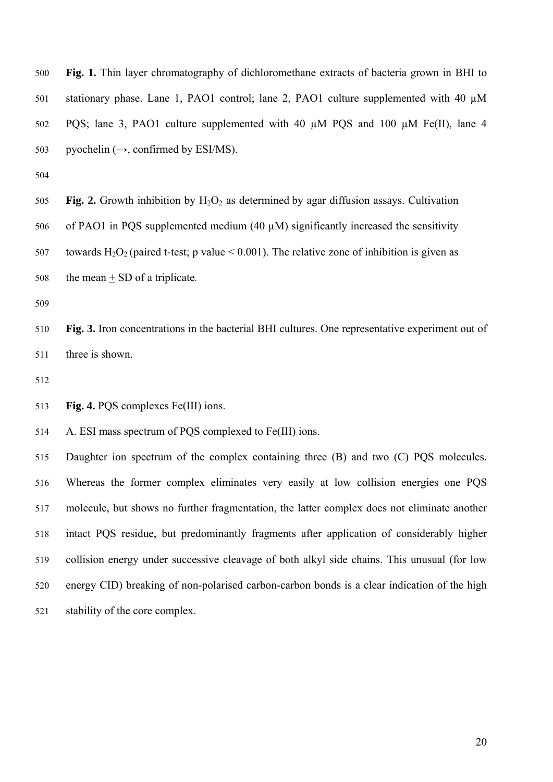**Fig. 1.** Thin layer chromatography of dichloromethane extracts of bacteria grown in BHI to stationary phase. Lane 1, PAO1 control; lane 2, PAO1 culture supplemented with 40  $\mu$ M PQS; lane 3, PAO1 culture supplemented with 40  $\mu$ M PQS and 100  $\mu$ M Fe(II), lane 4 pyochelin  $(\rightarrow)$ , confirmed by ESI/MS). 500 501 502 503

504

505 506 507 **Fig. 2.** Growth inhibition by  $H_2O_2$  as determined by agar diffusion assays. Cultivation of PAO1 in PQS supplemented medium  $(40 \mu M)$  significantly increased the sensitivity towards H<sub>2</sub>O<sub>2</sub> (paired t-test; p value  $\leq$  0.001). The relative zone of inhibition is given as 508 the mean  $+$  SD of a triplicate.

509

510 511 **Fig. 3.** Iron concentrations in the bacterial BHI cultures. One representative experiment out of three is shown.

512

513 Fig. 4. POS complexes Fe(III) ions.

514 A. ESI mass spectrum of PQS complexed to Fe(III) ions.

515 516 517 518 519 520 521 Daughter ion spectrum of the complex containing three (B) and two (C) PQS molecules. Whereas the former complex eliminates very easily at low collision energies one PQS molecule, but shows no further fragmentation, the latter complex does not eliminate another intact PQS residue, but predominantly fragments after application of considerably higher collision energy under successive cleavage of both alkyl side chains. This unusual (for low energy CID) breaking of non-polarised carbon-carbon bonds is a clear indication of the high stability of the core complex.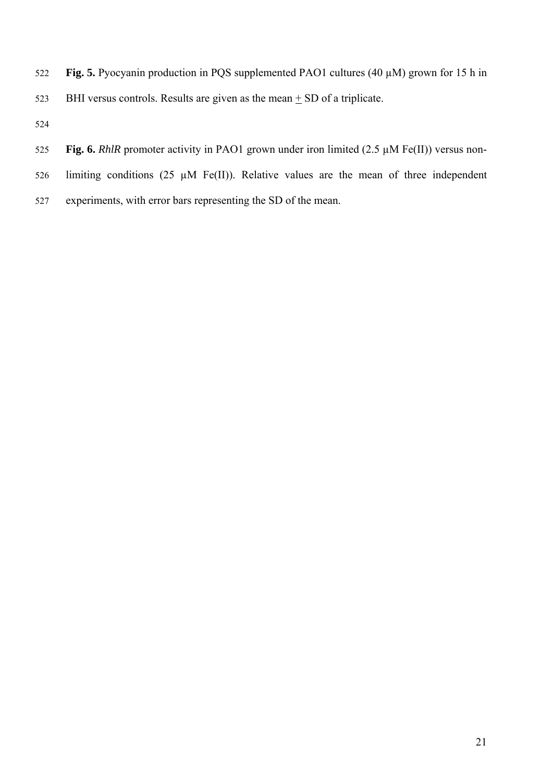- **Fig. 5.** Pyocyanin production in PQS supplemented PAO1 cultures (40 µM) grown for 15 h in 522
- 523 BHI versus controls. Results are given as the mean  $\pm$  SD of a triplicate.
- 524
- 525 Fig. 6. *RhlR* promoter activity in PAO1 grown under iron limited (2.5  $\mu$ M Fe(II)) versus non-
- 526 limiting conditions (25  $\mu$ M Fe(II)). Relative values are the mean of three independent
- 527 experiments, with error bars representing the SD of the mean.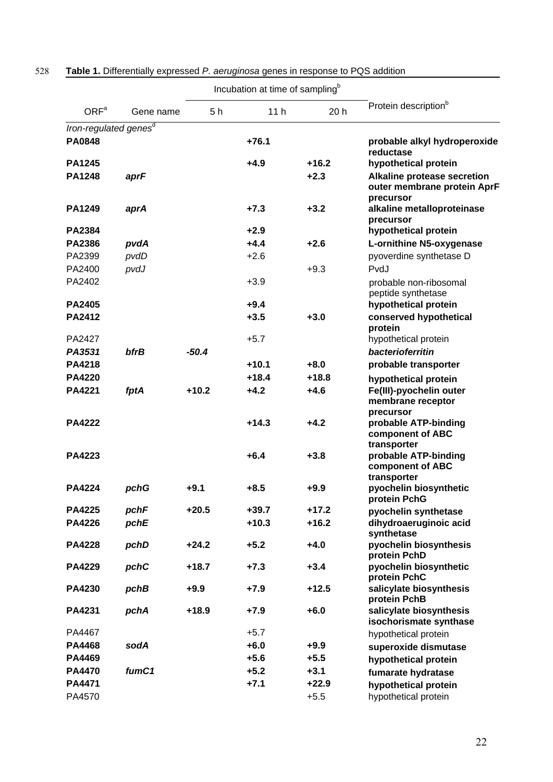|                                   |             | Incubation at time of sampling <sup>b</sup> |                 |                   |                                                                                                 |
|-----------------------------------|-------------|---------------------------------------------|-----------------|-------------------|-------------------------------------------------------------------------------------------------|
| ORF <sup>a</sup>                  | Gene name   | 5 h                                         | 11 <sub>h</sub> | 20 <sub>h</sub>   | Protein description <sup>b</sup>                                                                |
| Iron-regulated genes <sup>d</sup> |             |                                             |                 |                   |                                                                                                 |
| <b>PA0848</b>                     |             |                                             | $+76.1$         |                   | probable alkyl hydroperoxide<br>reductase                                                       |
| <b>PA1245</b><br><b>PA1248</b>    | aprF        |                                             | $+4.9$          | $+16.2$<br>$+2.3$ | hypothetical protein<br>Alkaline protease secretion<br>outer membrane protein AprF<br>precursor |
| PA1249                            | aprA        |                                             | $+7.3$          | $+3.2$            | alkaline metalloproteinase<br>precursor                                                         |
| <b>PA2384</b>                     |             |                                             | $+2.9$          |                   | hypothetical protein                                                                            |
| <b>PA2386</b>                     | pvdA        |                                             | $+4.4$          | $+2.6$            | L-ornithine N5-oxygenase                                                                        |
| PA2399                            | pvdD        |                                             | $+2.6$          |                   | pyoverdine synthetase D                                                                         |
| PA2400                            | pvdJ        |                                             |                 | $+9.3$            | PvdJ                                                                                            |
| PA2402                            |             |                                             | $+3.9$          |                   | probable non-ribosomal<br>peptide synthetase                                                    |
| <b>PA2405</b>                     |             |                                             | $+9.4$          |                   | hypothetical protein                                                                            |
| <b>PA2412</b>                     |             |                                             | $+3.5$          | $+3.0$            | conserved hypothetical<br>protein                                                               |
| PA2427                            |             |                                             | $+5.7$          |                   | hypothetical protein                                                                            |
| PA3531                            | <b>bfrB</b> | $-50.4$                                     |                 |                   | bacterioferritin                                                                                |
| <b>PA4218</b>                     |             |                                             | $+10.1$         | $+8.0$            | probable transporter                                                                            |
| <b>PA4220</b>                     |             |                                             | $+18.4$         | $+18.8$           | hypothetical protein                                                                            |
| <b>PA4221</b>                     | fptA        | $+10.2$                                     | $+4.2$          | $+4.6$            | Fe(III)-pyochelin outer<br>membrane receptor<br>precursor                                       |
| <b>PA4222</b>                     |             |                                             | $+14.3$         | $+4.2$            | probable ATP-binding<br>component of ABC<br>transporter                                         |
| PA4223                            |             |                                             | $+6.4$          | $+3.8$            | probable ATP-binding<br>component of ABC<br>transporter                                         |
| <b>PA4224</b>                     | pchG        | $+9.1$                                      | $+8.5$          | $+9.9$            | pyochelin biosynthetic<br>protein PchG                                                          |
| <b>PA4225</b>                     | pchF        | $+20.5$                                     | $+39.7$         | $+17.2$           | pyochelin synthetase                                                                            |
| <b>PA4226</b>                     | pchE        |                                             | $+10.3$         | $+16.2$           | dihydroaeruginoic acid<br>synthetase                                                            |
| <b>PA4228</b>                     | pchD        | $+24.2$                                     | $+5.2$          | $+4.0$            | pyochelin biosynthesis<br>protein PchD                                                          |
| <b>PA4229</b>                     | pchC        | $+18.7$                                     | $+7.3$          | $+3.4$            | pyochelin biosynthetic<br>protein PchC                                                          |
| <b>PA4230</b>                     | pchB        | $+9.9$                                      | $+7.9$          | $+12.5$           | salicylate biosynthesis<br>protein PchB                                                         |
| PA4231                            | pchA        | $+18.9$                                     | $+7.9$          | $+6.0$            | salicylate biosynthesis<br>isochorismate synthase                                               |
| PA4467                            |             |                                             | $+5.7$          |                   | hypothetical protein                                                                            |
| <b>PA4468</b>                     | sodA        |                                             | $+6.0$          | $+9.9$            | superoxide dismutase                                                                            |
| PA4469                            |             |                                             | $+5.6$          | $+5.5$            | hypothetical protein                                                                            |
| <b>PA4470</b>                     | fumC1       |                                             | $+5.2$          | $+3.1$            | fumarate hydratase                                                                              |
| <b>PA4471</b>                     |             |                                             | $+7.1$          | $+22.9$           | hypothetical protein                                                                            |
| PA4570                            |             |                                             |                 | $+5.5$            | hypothetical protein                                                                            |

| 528 |  |  |  |  | <b>Table 1.</b> Differentially expressed P. aeruginosa genes in response to PQS addition |
|-----|--|--|--|--|------------------------------------------------------------------------------------------|
|-----|--|--|--|--|------------------------------------------------------------------------------------------|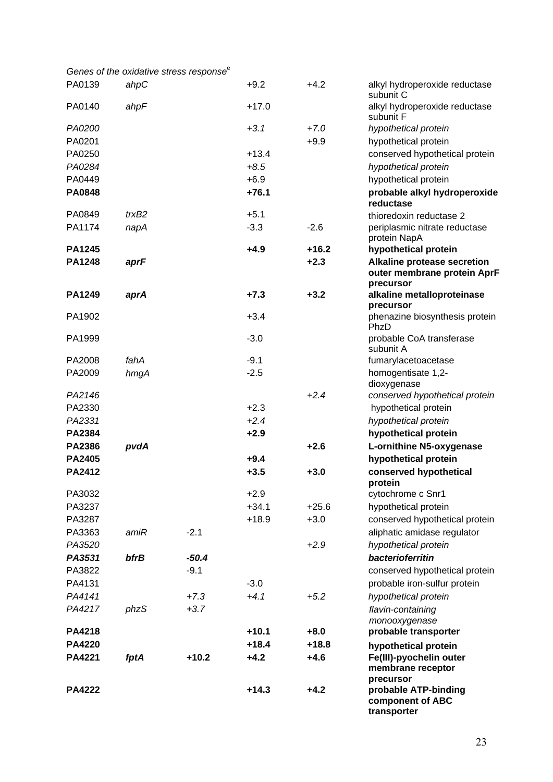|  | Genes of the oxidative stress response <sup>e</sup> |  |
|--|-----------------------------------------------------|--|
|--|-----------------------------------------------------|--|

| PA0139        | ahpC        |         | $+9.2$  | $+4.2$  | alkyl hydroperoxide reductase<br>subunit C                                     |
|---------------|-------------|---------|---------|---------|--------------------------------------------------------------------------------|
| PA0140        | ahpF        |         | $+17.0$ |         | alkyl hydroperoxide reductase<br>subunit F                                     |
| PA0200        |             |         | $+3.1$  | $+7.0$  | hypothetical protein                                                           |
| PA0201        |             |         |         | $+9.9$  | hypothetical protein                                                           |
| PA0250        |             |         | $+13.4$ |         | conserved hypothetical protein                                                 |
| PA0284        |             |         | $+8.5$  |         | hypothetical protein                                                           |
| PA0449        |             |         | $+6.9$  |         | hypothetical protein                                                           |
| <b>PA0848</b> |             |         | $+76.1$ |         | probable alkyl hydroperoxide<br>reductase                                      |
| PA0849        | trxB2       |         | $+5.1$  |         | thioredoxin reductase 2                                                        |
| PA1174        | napA        |         | $-3.3$  | $-2.6$  | periplasmic nitrate reductase                                                  |
|               |             |         |         |         | protein NapA                                                                   |
| <b>PA1245</b> |             |         | $+4.9$  | $+16.2$ | hypothetical protein                                                           |
| <b>PA1248</b> | aprF        |         |         | $+2.3$  | <b>Alkaline protease secretion</b><br>outer membrane protein AprF<br>precursor |
| PA1249        | aprA        |         | $+7.3$  | $+3.2$  | alkaline metalloproteinase<br>precursor                                        |
| PA1902        |             |         | $+3.4$  |         | phenazine biosynthesis protein<br>PhzD                                         |
| PA1999        |             |         | $-3.0$  |         | probable CoA transferase<br>subunit A                                          |
| PA2008        | fahA        |         | $-9.1$  |         | fumarylacetoacetase                                                            |
| PA2009        | hmgA        |         | $-2.5$  |         | homogentisate 1,2-<br>dioxygenase                                              |
| PA2146        |             |         |         | $+2.4$  | conserved hypothetical protein                                                 |
| PA2330        |             |         | $+2.3$  |         | hypothetical protein                                                           |
| PA2331        |             |         | $+2.4$  |         | hypothetical protein                                                           |
| PA2384        |             |         | $+2.9$  |         | hypothetical protein                                                           |
| <b>PA2386</b> | pvdA        |         |         | $+2.6$  | L-ornithine N5-oxygenase                                                       |
| <b>PA2405</b> |             |         | $+9.4$  |         | hypothetical protein                                                           |
| <b>PA2412</b> |             |         | $+3.5$  | $+3.0$  | conserved hypothetical<br>protein                                              |
| PA3032        |             |         | $+2.9$  |         | cytochrome c Snr1                                                              |
| PA3237        |             |         | $+34.1$ | $+25.6$ | hypothetical protein                                                           |
| PA3287        |             |         | $+18.9$ | $+3.0$  | conserved hypothetical protein                                                 |
| PA3363        | amiR        | $-2.1$  |         |         | aliphatic amidase regulator                                                    |
| PA3520        |             |         |         | $+2.9$  | hypothetical protein                                                           |
| PA3531        | <b>bfrB</b> | $-50.4$ |         |         | bacterioferritin                                                               |
| PA3822        |             | $-9.1$  |         |         | conserved hypothetical protein                                                 |
| PA4131        |             |         | $-3.0$  |         | probable iron-sulfur protein                                                   |
| PA4141        |             | $+7.3$  | $+4.1$  | $+5.2$  | hypothetical protein                                                           |
| PA4217        | phzS        | $+3.7$  |         |         | flavin-containing<br>monooxygenase                                             |
| <b>PA4218</b> |             |         | $+10.1$ | $+8.0$  | probable transporter                                                           |
| <b>PA4220</b> |             |         | $+18.4$ | $+18.8$ | hypothetical protein                                                           |
| <b>PA4221</b> | fptA        | $+10.2$ | $+4.2$  | $+4.6$  | Fe(III)-pyochelin outer<br>membrane receptor                                   |
| <b>PA4222</b> |             |         | $+14.3$ | $+4.2$  | precursor<br>probable ATP-binding<br>component of ABC<br>transporter           |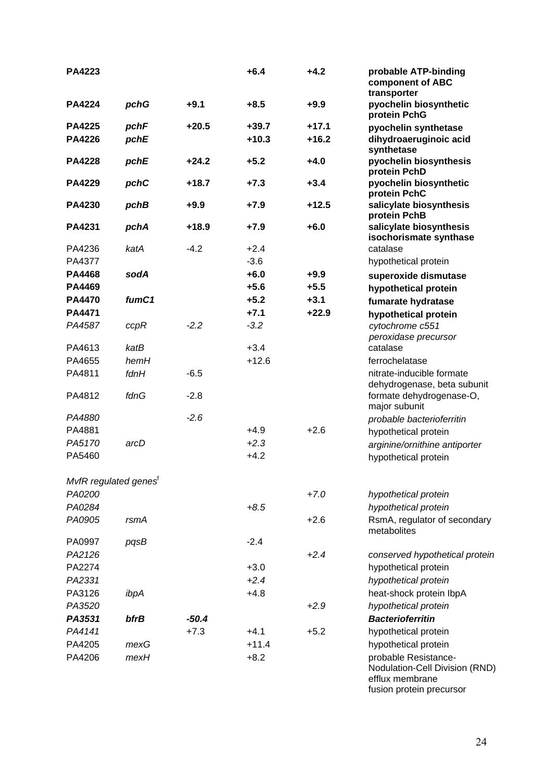| <b>PA4223</b>                     |              |                  | $+6.4$  | $+4.2$  | probable ATP-binding<br>component of ABC<br>transporter                              |
|-----------------------------------|--------------|------------------|---------|---------|--------------------------------------------------------------------------------------|
| <b>PA4224</b>                     | pchG         | $+9.1$           | $+8.5$  | $+9.9$  | pyochelin biosynthetic<br>protein PchG                                               |
| <b>PA4225</b>                     | pchF         | $+20.5$          | $+39.7$ | $+17.1$ | pyochelin synthetase                                                                 |
| <b>PA4226</b>                     | pchE         |                  | $+10.3$ | $+16.2$ | dihydroaeruginoic acid<br>synthetase                                                 |
| <b>PA4228</b>                     | pchE         | $+24.2$          | $+5.2$  | $+4.0$  | pyochelin biosynthesis<br>protein PchD                                               |
| <b>PA4229</b>                     | pchC         | $+18.7$          | $+7.3$  | $+3.4$  | pyochelin biosynthetic<br>protein PchC                                               |
| <b>PA4230</b>                     | pchB         | $+9.9$           | $+7.9$  | $+12.5$ | salicylate biosynthesis<br>protein PchB                                              |
| PA4231                            | pchA         | $+18.9$          | $+7.9$  | $+6.0$  | salicylate biosynthesis<br>isochorismate synthase                                    |
| PA4236                            | katA         | $-4.2$           | $+2.4$  |         | catalase                                                                             |
| PA4377                            |              |                  | $-3.6$  |         | hypothetical protein                                                                 |
| <b>PA4468</b>                     | sodA         |                  | $+6.0$  | $+9.9$  | superoxide dismutase                                                                 |
| PA4469                            |              |                  | $+5.6$  | $+5.5$  | hypothetical protein                                                                 |
| <b>PA4470</b>                     | fumC1        |                  | $+5.2$  | $+3.1$  | fumarate hydratase                                                                   |
| PA4471                            |              |                  | $+7.1$  | $+22.9$ | hypothetical protein                                                                 |
| PA4587                            | ccpR         | $-2.2$           | $-3.2$  |         | cytochrome c551<br>peroxidase precursor                                              |
| PA4613                            | katB         |                  | $+3.4$  |         | catalase                                                                             |
| PA4655                            | hemH         |                  | $+12.6$ |         | ferrochelatase                                                                       |
| PA4811<br>PA4812                  | fdnH<br>fdnG | $-6.5$<br>$-2.8$ |         |         | nitrate-inducible formate<br>dehydrogenase, beta subunit<br>formate dehydrogenase-O, |
| PA4880                            |              | $-2.6$           |         |         | major subunit                                                                        |
| PA4881                            |              |                  | $+4.9$  | $+2.6$  | probable bacterioferritin                                                            |
| PA5170                            | arcD         |                  | $+2.3$  |         | hypothetical protein                                                                 |
| PA5460                            |              |                  | $+4.2$  |         | arginine/ornithine antiporter                                                        |
|                                   |              |                  |         |         | hypothetical protein                                                                 |
| MvfR regulated genes <sup>f</sup> |              |                  |         |         |                                                                                      |
| PA0200                            |              |                  |         | $+7.0$  | hypothetical protein                                                                 |
| PA0284                            |              |                  | $+8.5$  |         | hypothetical protein                                                                 |
| PA0905                            | rsmA         |                  |         | $+2.6$  | RsmA, regulator of secondary<br>metabolites                                          |
| PA0997                            | pqsB         |                  | $-2.4$  |         |                                                                                      |
| PA2126                            |              |                  |         | $+2.4$  | conserved hypothetical protein                                                       |
| PA2274                            |              |                  | $+3.0$  |         | hypothetical protein                                                                 |
| PA2331                            |              |                  | $+2.4$  |         | hypothetical protein                                                                 |
| PA3126                            | ibpA         |                  | $+4.8$  |         | heat-shock protein IbpA                                                              |
| PA3520                            |              |                  |         | $+2.9$  | hypothetical protein                                                                 |
| PA3531                            | bfrB         | $-50.4$          |         |         | <b>Bacterioferritin</b>                                                              |
| PA4141                            |              | $+7.3$           | $+4.1$  | $+5.2$  | hypothetical protein                                                                 |
| PA4205                            | mexG         |                  | $+11.4$ |         | hypothetical protein                                                                 |
| PA4206                            | mexH         |                  | $+8.2$  |         | probable Resistance-<br>Nodulation-Cell Division (RND)<br>efflux membrane            |

fusion protein precursor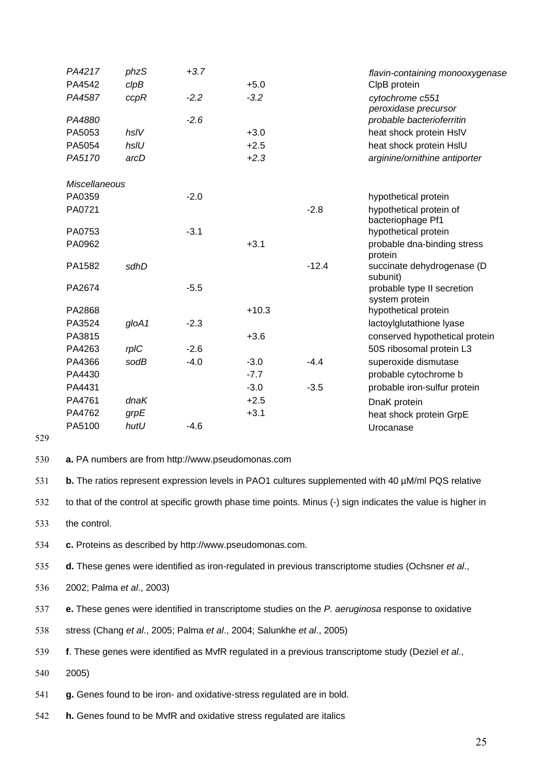| PA4217<br>PA4542     | phzS<br>clpB | $+3.7$ | $+5.0$  |         | flavin-containing monooxygenase<br>ClpB protein |
|----------------------|--------------|--------|---------|---------|-------------------------------------------------|
| PA4587               | ccpR         | $-2.2$ | $-3.2$  |         | cytochrome c551<br>peroxidase precursor         |
| PA4880               |              | $-2.6$ |         |         | probable bacterioferritin                       |
| PA5053               | hslV         |        | $+3.0$  |         | heat shock protein HsIV                         |
| PA5054               | hsIU         |        | $+2.5$  |         | heat shock protein HsIU                         |
| PA5170               | arcD         |        | $+2.3$  |         | arginine/ornithine antiporter                   |
| <b>Miscellaneous</b> |              |        |         |         |                                                 |
| PA0359               |              | $-2.0$ |         |         | hypothetical protein                            |
| PA0721               |              |        |         | $-2.8$  | hypothetical protein of<br>bacteriophage Pf1    |
| PA0753               |              | $-3.1$ |         |         | hypothetical protein                            |
| PA0962               |              |        | $+3.1$  |         | probable dna-binding stress<br>protein          |
| PA1582               | sdhD         |        |         | $-12.4$ | succinate dehydrogenase (D<br>subunit)          |
| PA2674               |              | $-5.5$ |         |         | probable type II secretion<br>system protein    |
| PA2868               |              |        | $+10.3$ |         | hypothetical protein                            |
| PA3524               | gloA1        | $-2.3$ |         |         | lactoylglutathione lyase                        |
| PA3815               |              |        | $+3.6$  |         | conserved hypothetical protein                  |
| PA4263               | rpIC         | $-2.6$ |         |         | 50S ribosomal protein L3                        |
| PA4366               | sodB         | $-4.0$ | $-3.0$  | $-4.4$  | superoxide dismutase                            |
| PA4430               |              |        | $-7.7$  |         | probable cytochrome b                           |
| PA4431               |              |        | $-3.0$  | $-3.5$  | probable iron-sulfur protein                    |
| PA4761               | dnaK         |        | $+2.5$  |         | DnaK protein                                    |
| PA4762               | grpE         |        | $+3.1$  |         | heat shock protein GrpE                         |
| PA5100               | hutU         | $-4.6$ |         |         | Urocanase                                       |

529

530 **a.** PA numbers are from [http://www.pseudomonas.com](http://www.pseudomonas.com/) 

531 **b.** The ratios represent expression levels in PAO1 cultures supplemented with 40 µM/ml PQS relative

532 to that of the control at specific growth phase time points. Minus (-) sign indicates the value is higher in

533 the control.

534 **c.** Proteins as described by [http://www.pseudomonas.com](http://www.pseudomonas.com/).

535 **d.** These genes were identified as iron-regulated in previous transcriptome studies (Ochsner *et al*.,

536 2002; Palma *et al*., 2003)

537 **e.** These genes were identified in transcriptome studies on the *P. aeruginosa* response to oxidative

538 stress (Chang *et al*., 2005; Palma *et al*., 2004; Salunkhe *et al*., 2005)

539 **f**. These genes were identified as MvfR regulated in a previous transcriptome study (Deziel *et al*.,

540 2005)

541 **g.** Genes found to be iron- and oxidative-stress regulated are in bold.

542 **h.** Genes found to be MvfR and oxidative stress regulated are italics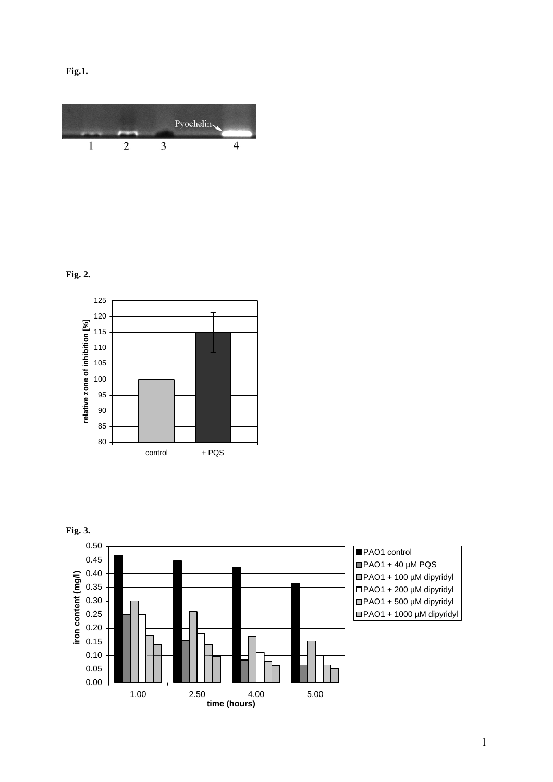



## **Fig. 2.**



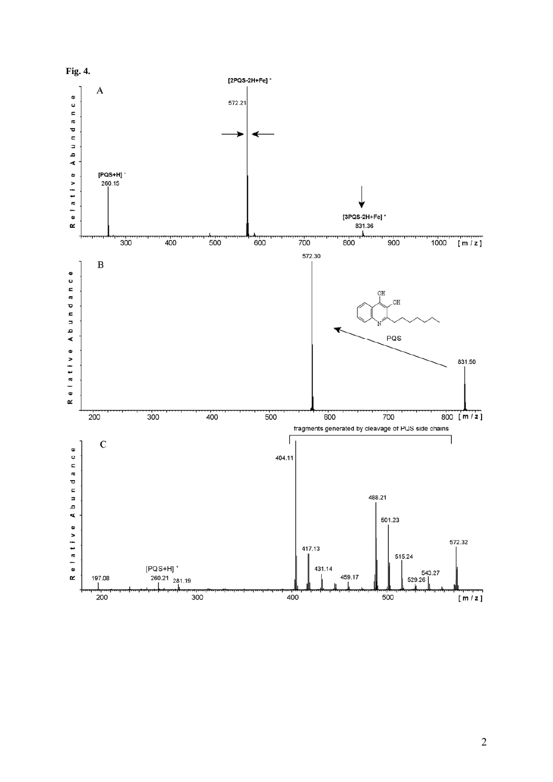